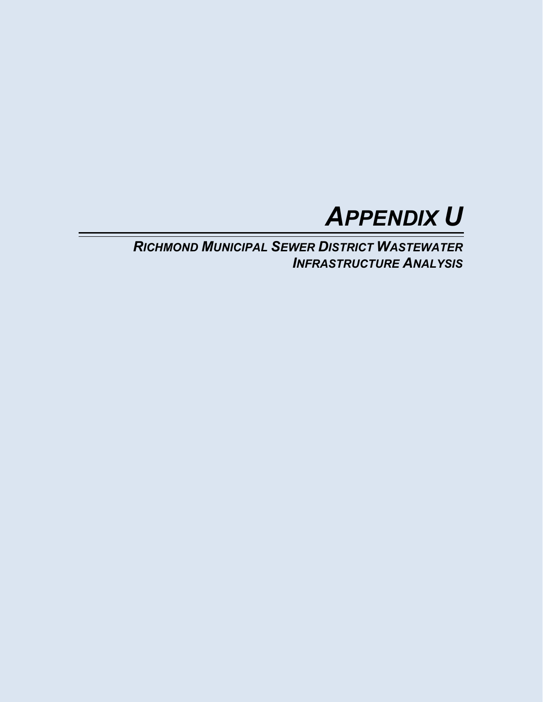

*RICHMOND MUNICIPAL SEWER DISTRICT WASTEWATER INFRASTRUCTURE ANALYSIS*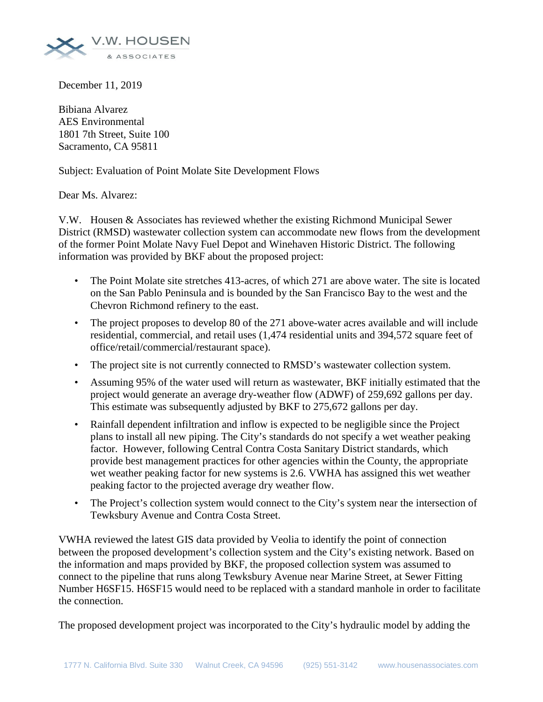

December 11, 2019

Bibiana Alvarez AES Environmental 1801 7th Street, Suite 100 Sacramento, CA 95811

Subject: Evaluation of Point Molate Site Development Flows

Dear Ms. Alvarez:

V.W. Housen & Associates has reviewed whether the existing Richmond Municipal Sewer District (RMSD) wastewater collection system can accommodate new flows from the development of the former Point Molate Navy Fuel Depot and Winehaven Historic District. The following information was provided by BKF about the proposed project:

- The Point Molate site stretches 413-acres, of which 271 are above water. The site is located on the San Pablo Peninsula and is bounded by the San Francisco Bay to the west and the Chevron Richmond refinery to the east.
- The project proposes to develop 80 of the 271 above-water acres available and will include residential, commercial, and retail uses (1,474 residential units and 394,572 square feet of office/retail/commercial/restaurant space).
- The project site is not currently connected to RMSD's wastewater collection system.
- Assuming 95% of the water used will return as wastewater, BKF initially estimated that the project would generate an average dry-weather flow (ADWF) of 259,692 gallons per day. This estimate was subsequently adjusted by BKF to 275,672 gallons per day.
- Rainfall dependent infiltration and inflow is expected to be negligible since the Project plans to install all new piping. The City's standards do not specify a wet weather peaking factor. However, following Central Contra Costa Sanitary District standards, which provide best management practices for other agencies within the County, the appropriate wet weather peaking factor for new systems is 2.6. VWHA has assigned this wet weather peaking factor to the projected average dry weather flow.
- The Project's collection system would connect to the City's system near the intersection of Tewksbury Avenue and Contra Costa Street.

VWHA reviewed the latest GIS data provided by Veolia to identify the point of connection between the proposed development's collection system and the City's existing network. Based on the information and maps provided by BKF, the proposed collection system was assumed to connect to the pipeline that runs along Tewksbury Avenue near Marine Street, at Sewer Fitting Number H6SF15. H6SF15 would need to be replaced with a standard manhole in order to facilitate the connection.

The proposed development project was incorporated to the City's hydraulic model by adding the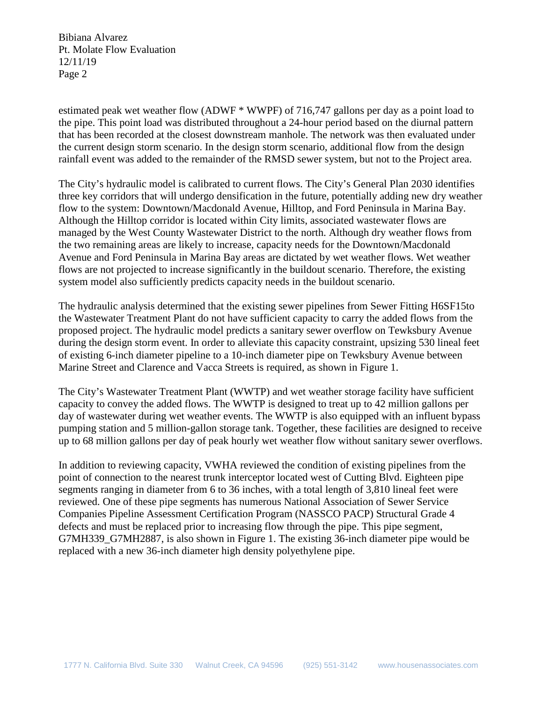Bibiana Alvarez Pt. Molate Flow Evaluation 12/11/19 Page 2

estimated peak wet weather flow (ADWF \* WWPF) of 716,747 gallons per day as a point load to the pipe. This point load was distributed throughout a 24-hour period based on the diurnal pattern that has been recorded at the closest downstream manhole. The network was then evaluated under the current design storm scenario. In the design storm scenario, additional flow from the design rainfall event was added to the remainder of the RMSD sewer system, but not to the Project area.

The City's hydraulic model is calibrated to current flows. The City's General Plan 2030 identifies three key corridors that will undergo densification in the future, potentially adding new dry weather flow to the system: Downtown/Macdonald Avenue, Hilltop, and Ford Peninsula in Marina Bay. Although the Hilltop corridor is located within City limits, associated wastewater flows are managed by the West County Wastewater District to the north. Although dry weather flows from the two remaining areas are likely to increase, capacity needs for the Downtown/Macdonald Avenue and Ford Peninsula in Marina Bay areas are dictated by wet weather flows. Wet weather flows are not projected to increase significantly in the buildout scenario. Therefore, the existing system model also sufficiently predicts capacity needs in the buildout scenario.

The hydraulic analysis determined that the existing sewer pipelines from Sewer Fitting H6SF15to the Wastewater Treatment Plant do not have sufficient capacity to carry the added flows from the proposed project. The hydraulic model predicts a sanitary sewer overflow on Tewksbury Avenue during the design storm event. In order to alleviate this capacity constraint, upsizing 530 lineal feet of existing 6-inch diameter pipeline to a 10-inch diameter pipe on Tewksbury Avenue between Marine Street and Clarence and Vacca Streets is required, as shown in Figure 1.

The City's Wastewater Treatment Plant (WWTP) and wet weather storage facility have sufficient capacity to convey the added flows. The WWTP is designed to treat up to 42 million gallons per day of wastewater during wet weather events. The WWTP is also equipped with an influent bypass pumping station and 5 million-gallon storage tank. Together, these facilities are designed to receive up to 68 million gallons per day of peak hourly wet weather flow without sanitary sewer overflows.

In addition to reviewing capacity, VWHA reviewed the condition of existing pipelines from the point of connection to the nearest trunk interceptor located west of Cutting Blvd. Eighteen pipe segments ranging in diameter from 6 to 36 inches, with a total length of 3,810 lineal feet were reviewed. One of these pipe segments has numerous National Association of Sewer Service Companies Pipeline Assessment Certification Program (NASSCO PACP) Structural Grade 4 defects and must be replaced prior to increasing flow through the pipe. This pipe segment, G7MH339\_G7MH2887, is also shown in Figure 1. The existing 36-inch diameter pipe would be replaced with a new 36-inch diameter high density polyethylene pipe.